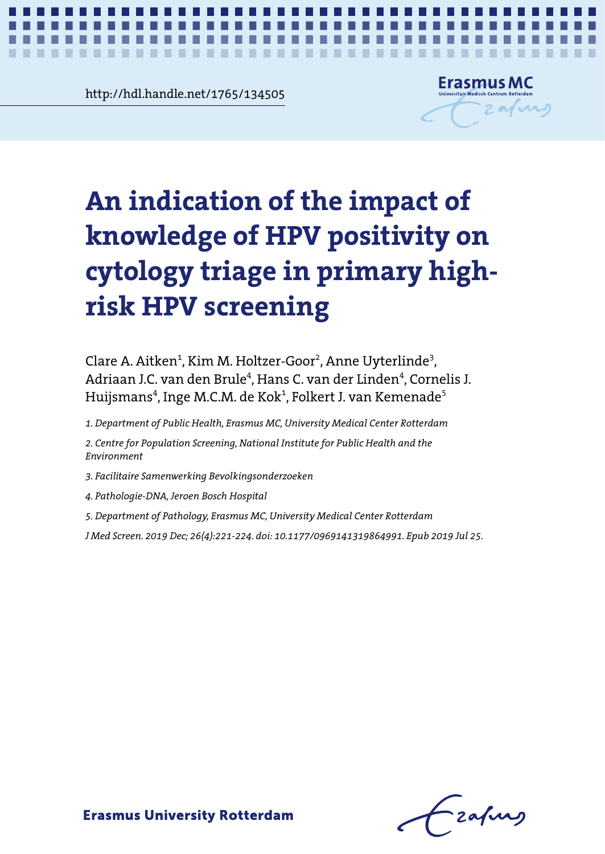**Chapter 4.11765/134505**<br> **Chapter 4.1**<br> **Chapter 4.1** http://hdl.handle.net/1765/134505



*Impact of HPV positivity knowledge on cytology triage* **1**

# An indication of the impact of **screening knowledge of HPV positivity on cytology triage in primary highrisk HPV screening**

Clare A. Aitken $^{\rm 1}$ , Kim M. Holtzer-Goor $^{\rm 2}$ , Anne Uyterlinde $^{\rm 3}$ , Adriaan J.C. van den Brule<sup>4</sup>, Hans C. van der Linden<sup>4</sup>, Cornelis J. Huijsmans<sup>4</sup>, Inge M.C.M. de Kok<sup>1</sup>, Folkert J. van Kemenade<sup>5</sup>

1. Department of Public Health, Erasmus MC, University Medical Center Rotterdam

2. Centre for Population Screening, National Institute for Public Health and the *Environment*

3. Facilitaire Samenwerking Bevolkingsonderzoeken

*4. Pathologie-DNA, Jeroen Bosch Hospital*

*J Med Screen. 2019 Dec; 26(4):221-224. doi: 10.1177/0969141319864991. Epub 2019 Jul 25. 5. Department of Pathology, Erasmus MC, University Medical Center Rotterdam*

Impact of HPV positivity knowledge on cytology triage *J Med Screen. 2019 Dec; 26(4):221-224. doi: 10.1177/0969141319864991. Epub 2019 Jul 25.*

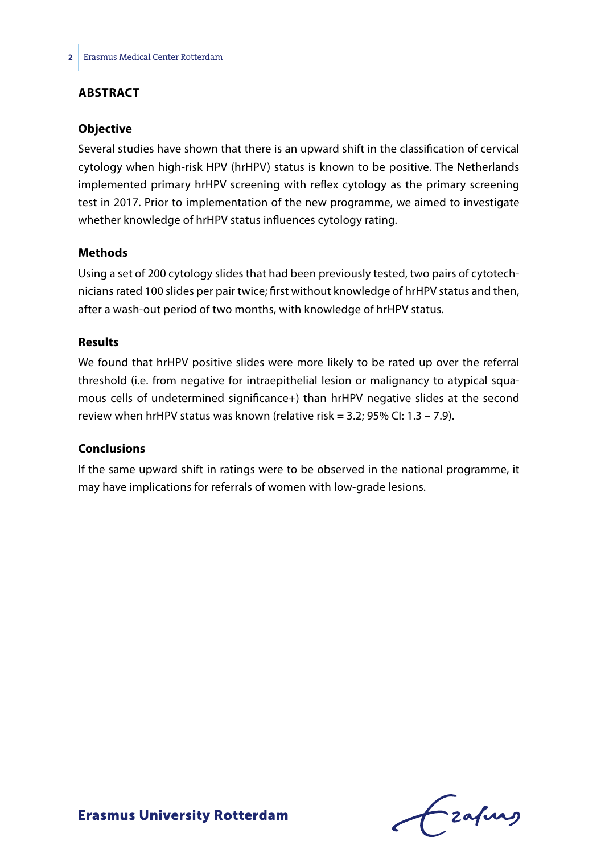# **ABSTRACT**

#### **Objective**

Several studies have shown that there is an upward shift in the classification of cervical cytology when high-risk HPV (hrHPV) status is known to be positive. The Netherlands implemented primary hrHPV screening with reflex cytology as the primary screening test in 2017. Prior to implementation of the new programme, we aimed to investigate whether knowledge of hrHPV status influences cytology rating.

#### **Methods**

Using a set of 200 cytology slides that had been previously tested, two pairs of cytotechnicians rated 100 slides per pair twice; first without knowledge of hrHPV status and then, after a wash-out period of two months, with knowledge of hrHPV status.

### **Results**

We found that hrHPV positive slides were more likely to be rated up over the referral threshold (i.e. from negative for intraepithelial lesion or malignancy to atypical squamous cells of undetermined significance+) than hrHPV negative slides at the second review when hrHPV status was known (relative risk =  $3.2$ ;  $95\%$  CI:  $1.3 - 7.9$ ).

#### **Conclusions**

If the same upward shift in ratings were to be observed in the national programme, it may have implications for referrals of women with low-grade lesions.

 $f$  zafung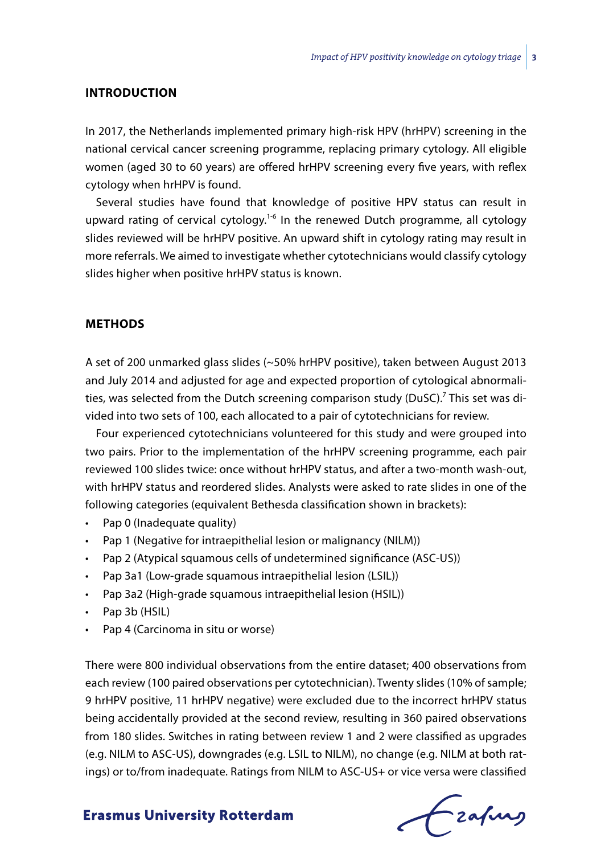#### **INTRODUCTION**

In 2017, the Netherlands implemented primary high-risk HPV (hrHPV) screening in the national cervical cancer screening programme, replacing primary cytology. All eligible women (aged 30 to 60 years) are offered hrHPV screening every five years, with reflex cytology when hrHPV is found.

Several studies have found that knowledge of positive HPV status can result in upward rating of cervical cytology.<sup>1-6</sup> In the renewed Dutch programme, all cytology slides reviewed will be hrHPV positive. An upward shift in cytology rating may result in more referrals. We aimed to investigate whether cytotechnicians would classify cytology slides higher when positive hrHPV status is known.

#### **METHODS**

A set of 200 unmarked glass slides (~50% hrHPV positive), taken between August 2013 and July 2014 and adjusted for age and expected proportion of cytological abnormalities, was selected from the Dutch screening comparison study (DuSC).<sup>7</sup> This set was divided into two sets of 100, each allocated to a pair of cytotechnicians for review.

Four experienced cytotechnicians volunteered for this study and were grouped into two pairs. Prior to the implementation of the hrHPV screening programme, each pair reviewed 100 slides twice: once without hrHPV status, and after a two-month wash-out, with hrHPV status and reordered slides. Analysts were asked to rate slides in one of the following categories (equivalent Bethesda classification shown in brackets):

- Pap 0 (Inadequate quality)
- Pap 1 (Negative for intraepithelial lesion or malignancy (NILM))
- Pap 2 (Atypical squamous cells of undetermined significance (ASC-US))
- Pap 3a1 (Low-grade squamous intraepithelial lesion (LSIL))
- • Pap 3a2 (High-grade squamous intraepithelial lesion (HSIL))
- Pap 3b (HSIL)
- Pap 4 (Carcinoma in situ or worse)

There were 800 individual observations from the entire dataset; 400 observations from each review (100 paired observations per cytotechnician). Twenty slides (10% of sample; 9 hrHPV positive, 11 hrHPV negative) were excluded due to the incorrect hrHPV status being accidentally provided at the second review, resulting in 360 paired observations from 180 slides. Switches in rating between review 1 and 2 were classified as upgrades (e.g. NILM to ASC-US), downgrades (e.g. LSIL to NILM), no change (e.g. NILM at both ratings) or to/from inadequate. Ratings from NILM to ASC-US+ or vice versa were classified

Czafing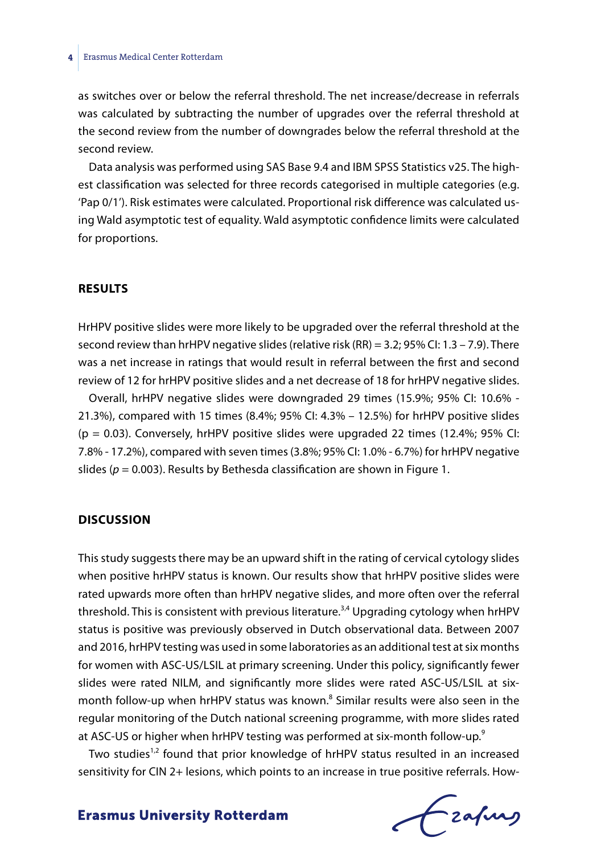#### **4** Erasmus Medical Center Rotterdam

as switches over or below the referral threshold. The net increase/decrease in referrals was calculated by subtracting the number of upgrades over the referral threshold at the second review from the number of downgrades below the referral threshold at the second review.

Data analysis was performed using SAS Base 9.4 and IBM SPSS Statistics v25. The highest classification was selected for three records categorised in multiple categories (e.g. 'Pap 0/1'). Risk estimates were calculated. Proportional risk difference was calculated using Wald asymptotic test of equality. Wald asymptotic confidence limits were calculated for proportions.

#### **RESULTS**

HrHPV positive slides were more likely to be upgraded over the referral threshold at the second review than hrHPV negative slides (relative risk (RR) = 3.2; 95% CI: 1.3 – 7.9). There was a net increase in ratings that would result in referral between the first and second review of 12 for hrHPV positive slides and a net decrease of 18 for hrHPV negative slides.

Overall, hrHPV negative slides were downgraded 29 times (15.9%; 95% CI: 10.6% - 21.3%), compared with 15 times (8.4%; 95% CI: 4.3% – 12.5%) for hrHPV positive slides  $(p = 0.03)$ . Conversely, hrHPV positive slides were upgraded 22 times (12.4%; 95% CI: 7.8% - 17.2%), compared with seven times (3.8%; 95% CI: 1.0% - 6.7%) for hrHPV negative slides ( $p = 0.003$ ). Results by Bethesda classification are shown in Figure 1.

#### **DISCUSSION**

This study suggests there may be an upward shift in the rating of cervical cytology slides when positive hrHPV status is known. Our results show that hrHPV positive slides were rated upwards more often than hrHPV negative slides, and more often over the referral threshold. This is consistent with previous literature.<sup>3,4</sup> Upgrading cytology when hrHPV status is positive was previously observed in Dutch observational data. Between 2007 and 2016, hrHPV testing was used in some laboratories as an additional test at six months for women with ASC-US/LSIL at primary screening. Under this policy, significantly fewer slides were rated NILM, and significantly more slides were rated ASC-US/LSIL at sixmonth follow-up when hrHPV status was known.<sup>8</sup> Similar results were also seen in the regular monitoring of the Dutch national screening programme, with more slides rated at ASC-US or higher when hrHPV testing was performed at six-month follow-up.<sup>9</sup>

Two studies<sup>1,2</sup> found that prior knowledge of hrHPV status resulted in an increased sensitivity for CIN 2+ lesions, which points to an increase in true positive referrals. How-

Frahing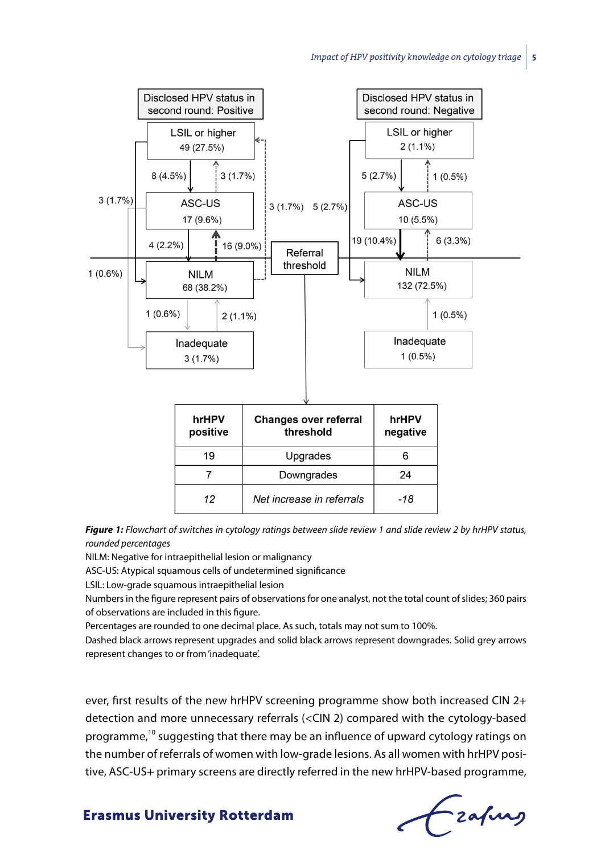

*Figure 1: Flowchart of switches in cytology ratings between slide review 1 and slide review 2 by hrHPV status, rounded percentages*

NILM: Negative for intraepithelial lesion or malignancy

ASC-US: Atypical squamous cells of undetermined significance

LSIL: Low-grade squamous intraepithelial lesion

Numbers in the figure represent pairs of observations for one analyst, not the total count of slides; 360 pairs of observations are included in this figure.

Percentages are rounded to one decimal place. As such, totals may not sum to 100%.

Dashed black arrows represent upgrades and solid black arrows represent downgrades. Solid grey arrows represent changes to or from 'inadequate'.

ever, first results of the new hrHPV screening programme show both increased CIN 2+ detection and more unnecessary referrals (<CIN 2) compared with the cytology-based programme,10 suggesting that there may be an influence of upward cytology ratings on the number of referrals of women with low-grade lesions. As all women with hrHPV positive, ASC-US+ primary screens are directly referred in the new hrHPV-based programme,

frafing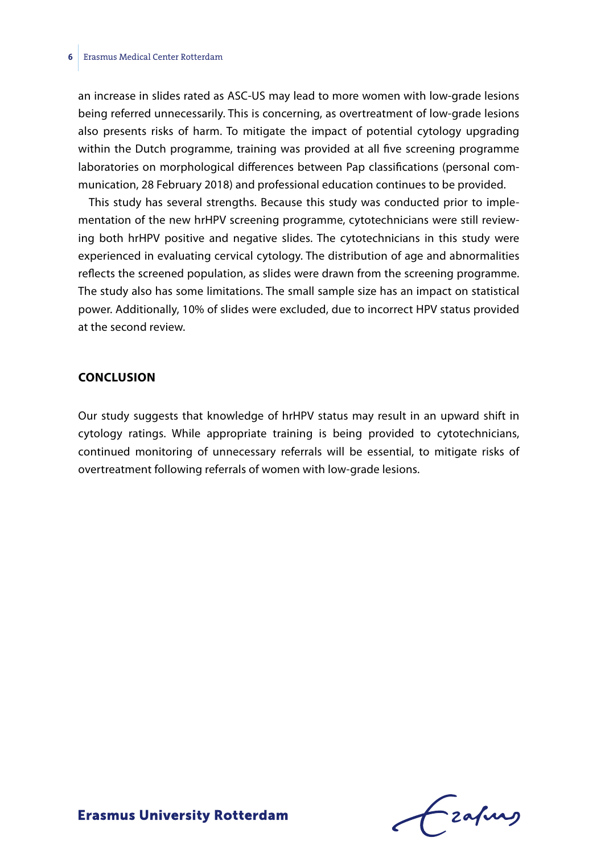an increase in slides rated as ASC-US may lead to more women with low-grade lesions being referred unnecessarily. This is concerning, as overtreatment of low-grade lesions also presents risks of harm. To mitigate the impact of potential cytology upgrading within the Dutch programme, training was provided at all five screening programme laboratories on morphological differences between Pap classifications (personal communication, 28 February 2018) and professional education continues to be provided.

This study has several strengths. Because this study was conducted prior to implementation of the new hrHPV screening programme, cytotechnicians were still reviewing both hrHPV positive and negative slides. The cytotechnicians in this study were experienced in evaluating cervical cytology. The distribution of age and abnormalities reflects the screened population, as slides were drawn from the screening programme. The study also has some limitations. The small sample size has an impact on statistical power. Additionally, 10% of slides were excluded, due to incorrect HPV status provided at the second review.

## **CONCLUSION**

Our study suggests that knowledge of hrHPV status may result in an upward shift in cytology ratings. While appropriate training is being provided to cytotechnicians, continued monitoring of unnecessary referrals will be essential, to mitigate risks of overtreatment following referrals of women with low-grade lesions.

Frahing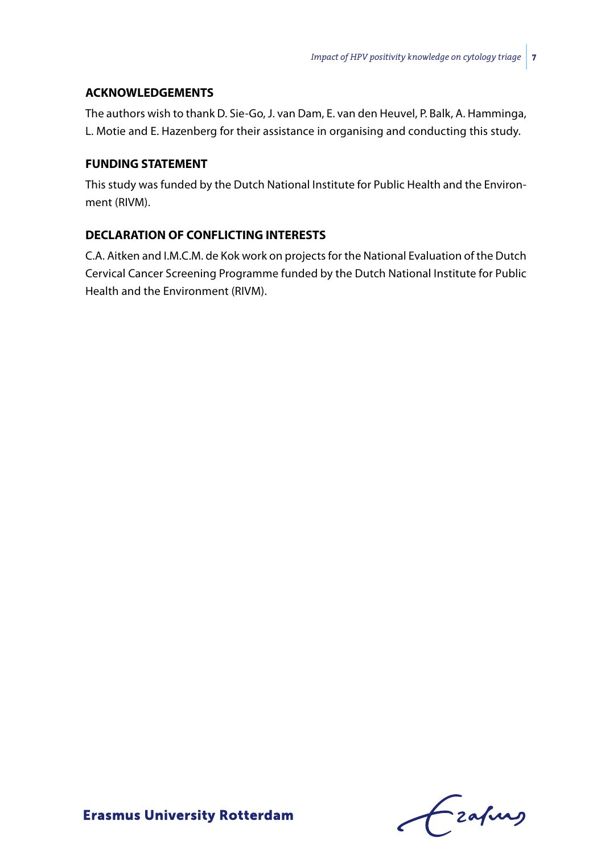## **ACKNOWLEDGEMENTS**

The authors wish to thank D. Sie-Go, J. van Dam, E. van den Heuvel, P. Balk, A. Hamminga, L. Motie and E. Hazenberg for their assistance in organising and conducting this study.

# **FUNDING STATEMENT**

This study was funded by the Dutch National Institute for Public Health and the Environment (RIVM).

# **DECLARATION OF CONFLICTING INTERESTS**

C.A. Aitken and I.M.C.M. de Kok work on projects for the National Evaluation of the Dutch Cervical Cancer Screening Programme funded by the Dutch National Institute for Public Health and the Environment (RIVM).